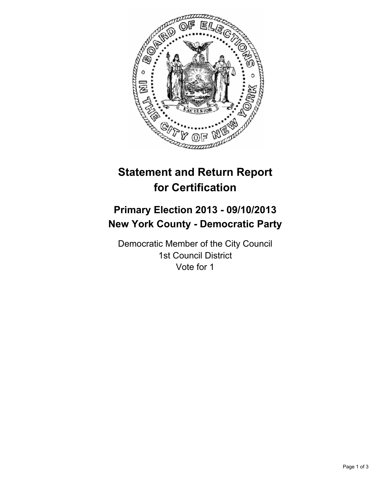

## **Statement and Return Report for Certification**

## **Primary Election 2013 - 09/10/2013 New York County - Democratic Party**

Democratic Member of the City Council 1st Council District Vote for 1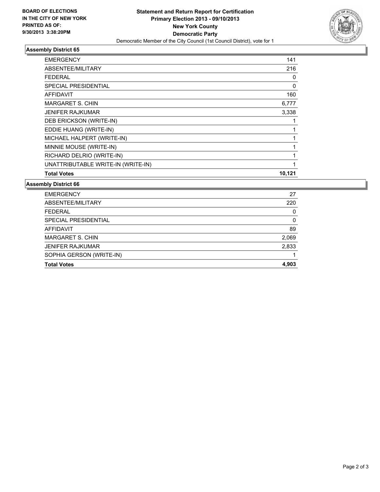

## **Assembly District 65**

| <b>EMERGENCY</b>                   | 141    |
|------------------------------------|--------|
| ABSENTEE/MILITARY                  | 216    |
| FEDERAL                            | 0      |
| <b>SPECIAL PRESIDENTIAL</b>        | 0      |
| <b>AFFIDAVIT</b>                   | 160    |
| <b>MARGARET S. CHIN</b>            | 6,777  |
| <b>JENIFER RAJKUMAR</b>            | 3,338  |
| DEB ERICKSON (WRITE-IN)            |        |
| EDDIE HUANG (WRITE-IN)             |        |
| MICHAEL HALPERT (WRITE-IN)         |        |
| MINNIE MOUSE (WRITE-IN)            |        |
| RICHARD DELRIO (WRITE-IN)          |        |
| UNATTRIBUTABLE WRITE-IN (WRITE-IN) | 1      |
| <b>Total Votes</b>                 | 10,121 |

**Assembly District 66**

| <b>EMERGENCY</b>         | 27    |
|--------------------------|-------|
| ABSENTEE/MILITARY        | 220   |
| <b>FEDERAL</b>           | 0     |
| SPECIAL PRESIDENTIAL     | 0     |
| <b>AFFIDAVIT</b>         | 89    |
| MARGARET S. CHIN         | 2,069 |
| <b>JENIFER RAJKUMAR</b>  | 2,833 |
| SOPHIA GERSON (WRITE-IN) |       |
| <b>Total Votes</b>       | 4.903 |